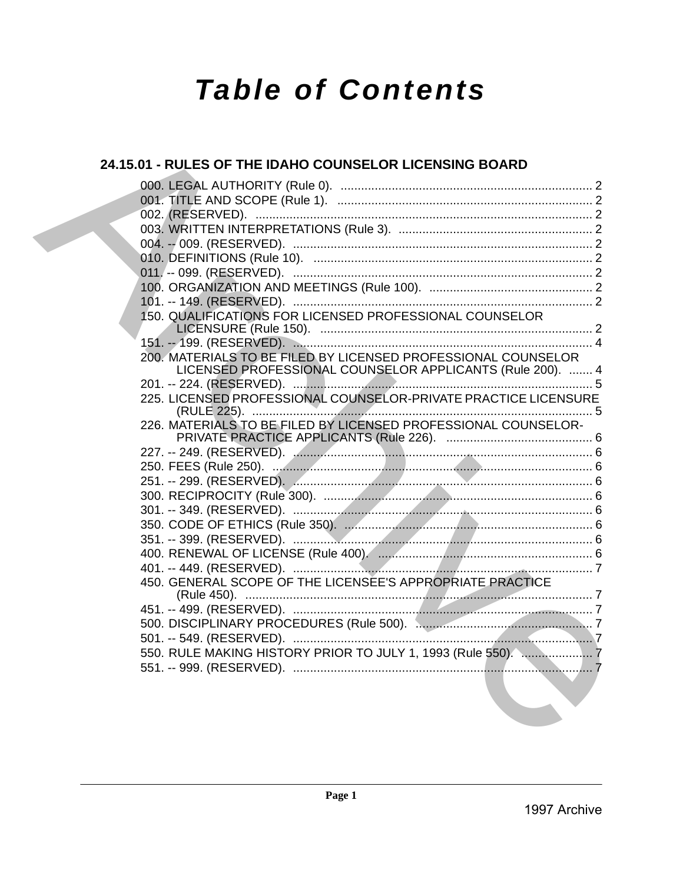# **Table of Contents**

# 24.15.01 - RULES OF THE IDAHO COUNSELOR LICENSING BOARD 150. QUALIFICATIONS FOR LICENSED PROFESSIONAL COUNSELOR 200. MATERIALS TO BE FILED BY LICENSED PROFESSIONAL COUNSELOR LICENSED PROFESSIONAL COUNSELOR APPLICANTS (Rule 200). ....... 4 225. LICENSED PROFESSIONAL COUNSELOR-PRIVATE PRACTICE LICENSURE 226. MATERIALS TO BE FILED BY LICENSED PROFESSIONAL COUNSELOR-450. GENERAL SCOPE OF THE LICENSEE'S APPROPRIATE PRACTICE 550. RULE MAKING HISTORY PRIOR TO JULY 1. 1993 (Rule 550). ...................... 7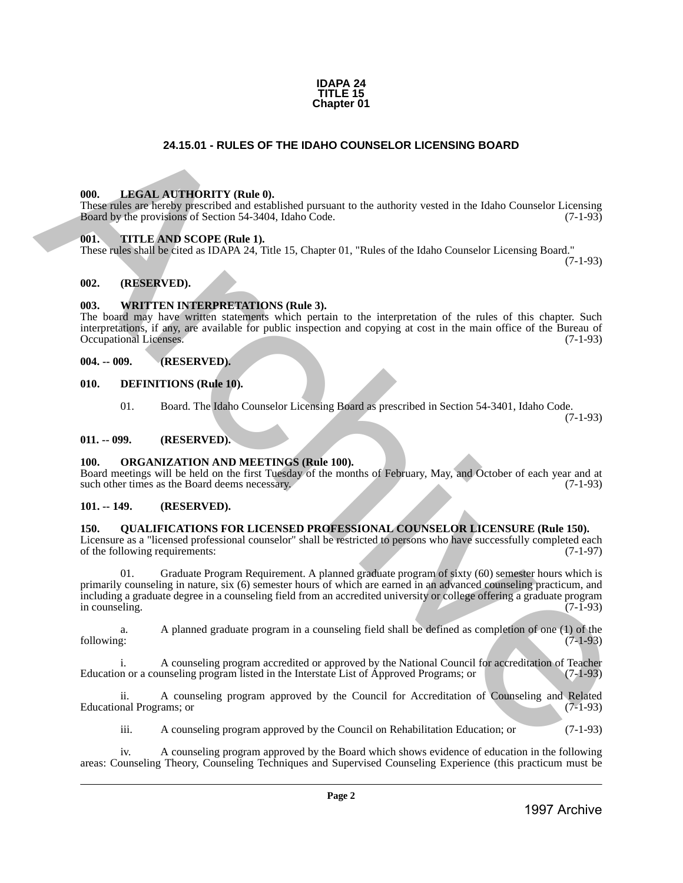

# **24.15.01 - RULES OF THE IDAHO COUNSELOR LICENSING BOARD**

# <span id="page-1-1"></span>**000. LEGAL AUTHORITY (Rule 0).**

These rules are hereby prescribed and established pursuant to the authority vested in the Idaho Counselor Licensing Board by the provisions of Section 54-3404, Idaho Code. (7-1-93)

# <span id="page-1-2"></span>**001. TITLE AND SCOPE (Rule 1).**

These rules shall be cited as IDAPA 24, Title 15, Chapter 01, "Rules of the Idaho Counselor Licensing Board."

(7-1-93)

# <span id="page-1-3"></span>**002. (RESERVED).**

# <span id="page-1-4"></span>**003. WRITTEN INTERPRETATIONS (Rule 3).**

The board may have written statements which pertain to the interpretation of the rules of this chapter. Such interpretations, if any, are available for public inspection and copying at cost in the main office of the Bureau of Occupational Licenses.

#### <span id="page-1-5"></span>**004. -- 009. (RESERVED).**

- <span id="page-1-6"></span>**010. DEFINITIONS (Rule 10).**
	- 01. Board. The Idaho Counselor Licensing Board as prescribed in Section 54-3401, Idaho Code. (7-1-93)

#### <span id="page-1-7"></span>**011. -- 099. (RESERVED).**

# <span id="page-1-8"></span>**100. ORGANIZATION AND MEETINGS (Rule 100).**

Board meetings will be held on the first Tuesday of the months of February, May, and October of each year and at such other times as the Board deems necessary. (7-1-93)

# <span id="page-1-9"></span>**101. -- 149. (RESERVED).**

# <span id="page-1-10"></span>**150. QUALIFICATIONS FOR LICENSED PROFESSIONAL COUNSELOR LICENSURE (Rule 150).**

Licensure as a "licensed professional counselor" shall be restricted to persons who have successfully completed each of the following requirements: (7-1-97)

<span id="page-1-0"></span>01. Graduate Program Requirement. A planned graduate program of sixty (60) semester hours which is primarily counseling in nature, six (6) semester hours of which are earned in an advanced counseling practicum, and including a graduate degree in a counseling field from an accredited university or college offering a graduate program in counseling. **24.15.01** - RUESS OF THE IDAHO COUNSELOR LICENSING BOARD<br>
1998. LIBERT AT THORT WHO BUT A CONTRACT IN THE INSTEAD OF THE INSTEAD OF THE INSTEAD OF THE ARCHIVE CONTRACT IS CONTRACT IN THE ARCHIVE CONTRACT IS CONTRACT IN T

a. A planned graduate program in a counseling field shall be defined as completion of one (1) of the following: (7-1-93)

i. A counseling program accredited or approved by the National Council for accreditation of Teacher<br>n or a counseling program listed in the Interstate List of Approved Programs; or (7-1-93) Education or a counseling program listed in the Interstate List of Approved Programs; or

ii. A counseling program approved by the Council for Accreditation of Counseling and Related nal Programs; or (7-1-93) Educational Programs; or

iii. A counseling program approved by the Council on Rehabilitation Education; or (7-1-93)

iv. A counseling program approved by the Board which shows evidence of education in the following areas: Counseling Theory, Counseling Techniques and Supervised Counseling Experience (this practicum must be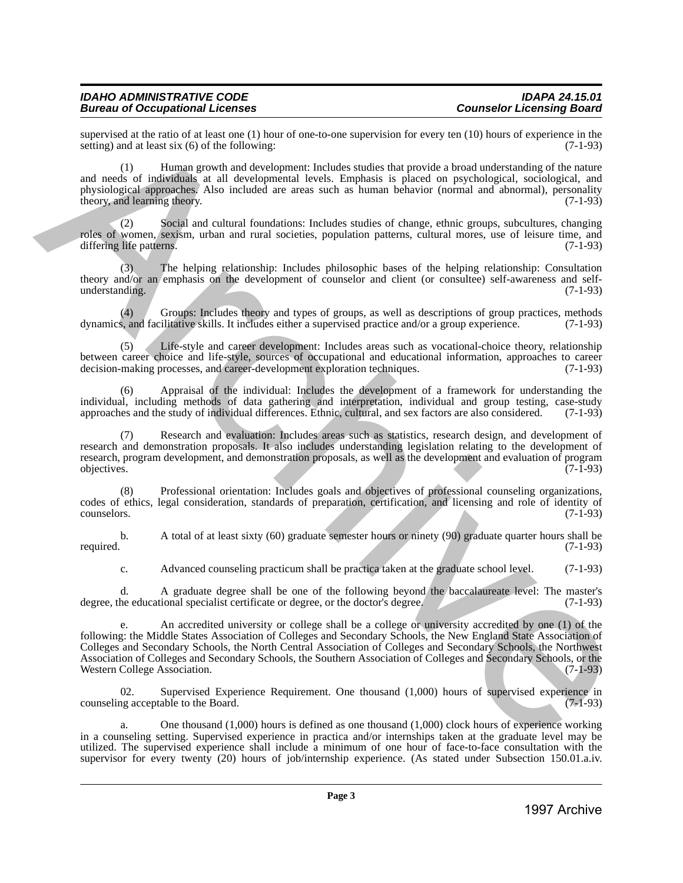# *IDAHO ADMINISTRATIVE CODE IDAPA 24.15.01* **Bureau of Occupational Licenses**

supervised at the ratio of at least one (1) hour of one-to-one supervision for every ten (10) hours of experience in the setting) and at least six (6) of the following: setting) and at least six  $(6)$  of the following:

(1) Human growth and development: Includes studies that provide a broad understanding of the nature and needs of individuals at all developmental levels. Emphasis is placed on psychological, sociological, and physiological approaches. Also included are areas such as human behavior (normal and abnormal), personality theory, and learning theory. (7-1-93) theory, and learning theory.

(2) Social and cultural foundations: Includes studies of change, ethnic groups, subcultures, changing roles of women, sexism, urban and rural societies, population patterns, cultural mores, use of leisure time, and differing life patterns. (7-1-93) differing life patterns.

(3) The helping relationship: Includes philosophic bases of the helping relationship: Consultation theory and/or an emphasis on the development of counselor and client (or consultee) self-awareness and selfunderstanding. (7-1-93)

(4) Groups: Includes theory and types of groups, as well as descriptions of group practices, methods  $\lambda$ , and facilitative skills. It includes either a supervised practice and/or a group experience. (7-1-93) dynamics, and facilitative skills. It includes either a supervised practice and/or a group experience.

Life-style and career development: Includes areas such as vocational-choice theory, relationship between career choice and life-style, sources of occupational and educational information, approaches to career decision-making processes, and career-development exploration techniques. (7-1-93) decision-making processes, and career-development exploration techniques.

Appraisal of the individual: Includes the development of a framework for understanding the individual, including methods of data gathering and interpretation, individual and group testing, case-study approaches and the study of individual differences. Ethnic, cultural, and sex factors are also considered. (7-1-9 approaches and the study of individual differences. Ethnic, cultural, and sex factors are also considered.

(7) Research and evaluation: Includes areas such as statistics, research design, and development of research and demonstration proposals. It also includes understanding legislation relating to the development of research, program development, and demonstration proposals, as well as the development and evaluation of program objectives. (7-1-93) objectives. (7-1-93)

(8) Professional orientation: Includes goals and objectives of professional counseling organizations, codes of ethics, legal consideration, standards of preparation, certification, and licensing and role of identity of counselors. (7-1-93)

b. A total of at least sixty (60) graduate semester hours or ninety (90) graduate quarter hours shall be required. (7-1-93) required. (7-1-93)

c. Advanced counseling practicum shall be practica taken at the graduate school level. (7-1-93)

d. A graduate degree shall be one of the following beyond the baccalaureate level: The master's degree, the educational specialist certificate or degree, or the doctor's degree. (7-1-93)

e. An accredited university or college shall be a college or university accredited by one (1) of the following: the Middle States Association of Colleges and Secondary Schools, the New England State Association of Colleges and Secondary Schools, the North Central Association of Colleges and Secondary Schools, the Northwest Association of Colleges and Secondary Schools, the Southern Association of Colleges and Secondary Schools, or the Western College Association. species that the same of the same of the same supervision for every lot (19) heats of expression and the same<br>
where  $\frac{1}{2}$  are not the same of the same of the same of the same of the same of the same of the same of th

02. Supervised Experience Requirement. One thousand (1,000) hours of supervised experience in counseling acceptable to the Board. (7-1-93)

a. One thousand (1,000) hours is defined as one thousand (1,000) clock hours of experience working in a counseling setting. Supervised experience in practica and/or internships taken at the graduate level may be utilized. The supervised experience shall include a minimum of one hour of face-to-face consultation with the supervisor for every twenty (20) hours of job/internship experience. (As stated under Subsection 150.01.a.iv.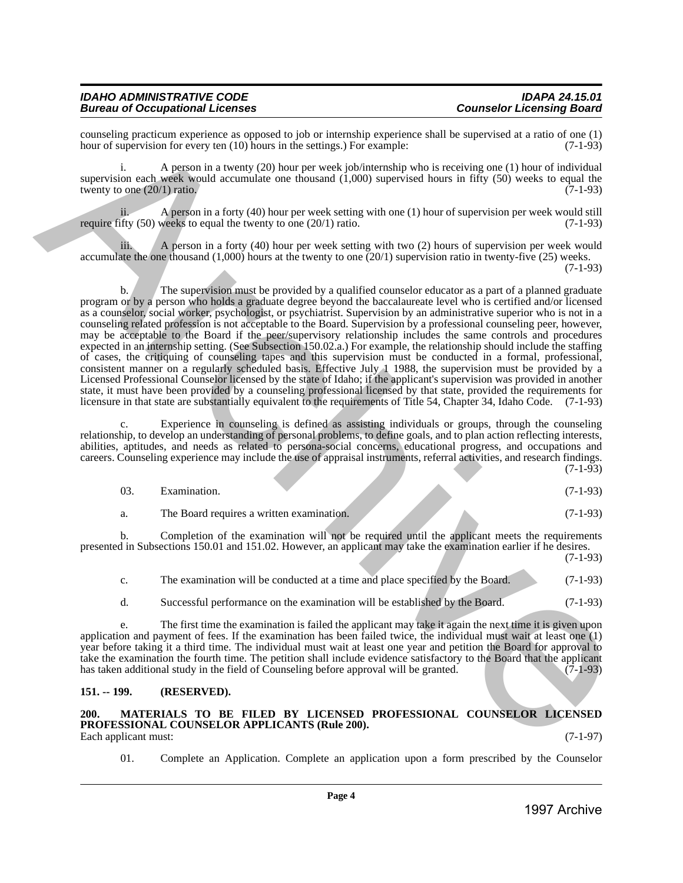| <b>IDAHO ADMINISTRATIVE CODE</b>       | <b>IDAPA 24.15.01</b>            |
|----------------------------------------|----------------------------------|
| <b>Bureau of Occupational Licenses</b> | <b>Counselor Licensing Board</b> |

counseling practicum experience as opposed to job or internship experience shall be supervised at a ratio of one (1) hour of supervision for every ten  $(10)$  hours in the settings.) For example:

i. A person in a twenty (20) hour per week job/internship who is receiving one (1) hour of individual supervision each week would accumulate one thousand (1,000) supervised hours in fifty (50) weeks to equal the twenty to one  $(20/1)$  ratio.  $(7-1-93)$ 

ii. A person in a forty (40) hour per week setting with one (1) hour of supervision per week would still require fifty  $(50)$  weeks to equal the twenty to one  $(20/1)$  ratio.  $(7-1-93)$ 

iii. A person in a forty (40) hour per week setting with two (2) hours of supervision per week would accumulate the one thousand (1,000) hours at the twenty to one (20/1) supervision ratio in twenty-five (25) weeks. (7-1-93)

b. The supervision must be provided by a qualified counselor educator as a part of a planned graduate program or by a person who holds a graduate degree beyond the baccalaureate level who is certified and/or licensed as a counselor, social worker, psychologist, or psychiatrist. Supervision by an administrative superior who is not in a counseling related profession is not acceptable to the Board. Supervision by a professional counseling peer, however, may be acceptable to the Board if the peer/supervisory relationship includes the same controls and procedures expected in an internship setting. (See Subsection 150.02.a.) For example, the relationship should include the staffing of cases, the critiquing of counseling tapes and this supervision must be conducted in a formal, professional, consistent manner on a regularly scheduled basis. Effective July 1 1988, the supervision must be provided by a Licensed Professional Counselor licensed by the state of Idaho; if the applicant's supervision was provided in another state, it must have been provided by a counseling professional licensed by that state, provided the requirements for licensure in that state are substantially equivalent to the requirements of Title 54, Chapter 34, Idaho Code. (7-1-93) 1990 to the strength of the strength of the strength opposite the strength of the strength of the strength of the strength of the strength of the strength of the strength of the strength of the strength of the strength o

c. Experience in counseling is defined as assisting individuals or groups, through the counseling relationship, to develop an understanding of personal problems, to define goals, and to plan action reflecting interests, abilities, aptitudes, and needs as related to persona-social concerns, educational progress, and occupations and careers. Counseling experience may include the use of appraisal instruments, referral activities, and research findings.  $(7-1-93)$ 

| Examination.                              |  | $(7-1-93)$ |
|-------------------------------------------|--|------------|
| The Board requires a written examination. |  | $(7-1-93)$ |

b. Completion of the examination will not be required until the applicant meets the requirements presented in Subsections 150.01 and 151.02. However, an applicant may take the examination earlier if he desires.

| $\mathbf{c}$ . | The examination will be conducted at a time and place specified by the Board. | $(7-1-93)$ |
|----------------|-------------------------------------------------------------------------------|------------|
|                | Successful performance on the examination will be established by the Board.   | $(7-1-93)$ |

e. The first time the examination is failed the applicant may take it again the next time it is given upon application and payment of fees. If the examination has been failed twice, the individual must wait at least one (1) year before taking it a third time. The individual must wait at least one year and petition the Board for approval to take the examination the fourth time. The petition shall include evidence satisfactory to the Board that the applicant has taken additional study in the field of Counseling before approval will be granted.  $(7-1-93)$ 

# <span id="page-3-0"></span>**151. -- 199. (RESERVED).**

#### <span id="page-3-1"></span>**200. MATERIALS TO BE FILED BY LICENSED PROFESSIONAL COUNSELOR LICENSED PROFESSIONAL COUNSELOR APPLICANTS (Rule 200).** Each applicant must: (7-1-97)

01. Complete an Application. Complete an application upon a form prescribed by the Counselor

(7-1-93)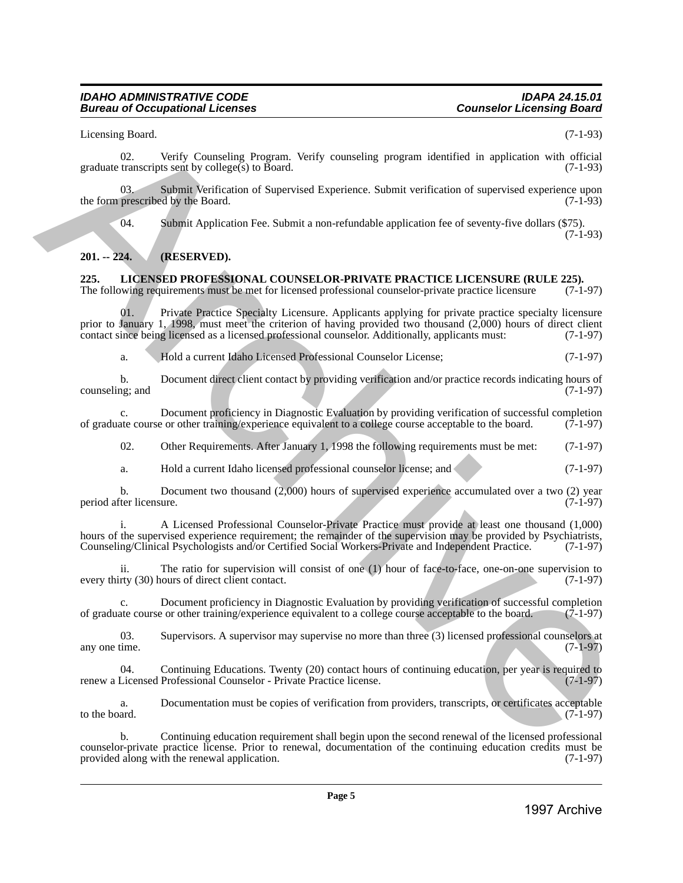# *IDAHO ADMINISTRATIVE CODE IDAPA 24.15.01* **Bureau of Occupational Licenses**

Licensing Board. (7-1-93)

02. Verify Counseling Program. Verify counseling program identified in application with official graduate transcripts sent by college(s) to Board. (7-1-93)

03. Submit Verification of Supervised Experience. Submit verification of supervised experience upon prescribed by the Board. (7-1-93) the form prescribed by the Board.

04. Submit Application Fee. Submit a non-refundable application fee of seventy-five dollars (\$75). (7-1-93)

# <span id="page-4-0"></span>**201. -- 224. (RESERVED).**

# <span id="page-4-1"></span>**225. LICENSED PROFESSIONAL COUNSELOR-PRIVATE PRACTICE LICENSURE (RULE 225).**

The following requirements must be met for licensed professional counselor-private practice licensure (7-1-97)

01. Private Practice Specialty Licensure. Applicants applying for private practice specialty licensure prior to January 1, 1998, must meet the criterion of having provided two thousand (2,000) hours of direct client contact since being licensed as a licensed professional counselor. Additionally, applicants must: (7-1-97)

a. Hold a current Idaho Licensed Professional Counselor License; (7-1-97)

b. Document direct client contact by providing verification and/or practice records indicating hours of ng; and (7-1-97) counseling; and

c. Document proficiency in Diagnostic Evaluation by providing verification of successful completion ate course or other training/experience equivalent to a college course acceptable to the board. (7-1-97) of graduate course or other training/experience equivalent to a college course acceptable to the board.

02. Other Requirements. After January 1, 1998 the following requirements must be met: (7-1-97)

a. Hold a current Idaho licensed professional counselor license; and (7-1-97)

b. Document two thousand (2,000) hours of supervised experience accumulated over a two (2) year period after licensure. (7-1-97)

i. A Licensed Professional Counselor-Private Practice must provide at least one thousand (1,000) hours of the supervised experience requirement; the remainder of the supervision may be provided by Psychiatrists, Counseling/Clinical Psychologists and/or Certified Social Workers-Private and Independent Practice. (7-1-97 Counseling/Clinical Psychologists and/or Certified Social Workers-Private and Independent Practice.

ii. The ratio for supervision will consist of one (1) hour of face-to-face, one-on-one supervision to every thirty (30) hours of direct client contact.

Document proficiency in Diagnostic Evaluation by providing verification of successful completion<br>e or other training/experience equivalent to a college course acceptable to the board. (7-1-97) of graduate course or other training/experience equivalent to a college course acceptable to the board.

03. Supervisors. A supervisor may supervise no more than three (3) licensed professional counselors at any one time. (7-1-97) any one time.  $(7-1-97)$ 

04. Continuing Educations. Twenty (20) contact hours of continuing education, per year is required to Licensed Professional Counselor - Private Practice license. (7-1-97) renew a Licensed Professional Counselor - Private Practice license.

a. Documentation must be copies of verification from providers, transcripts, or certificates acceptable to the board. (7-1-97) to the board.  $(7-1-97)$ 

b. Continuing education requirement shall begin upon the second renewal of the licensed professional counselor-private practice license. Prior to renewal, documentation of the continuing education credits must be provided along with the renewal application. (7-1-97) provided along with the renewal application. Licensing Countering Constants Program. Vector variation program identified in application with effective Archives Constant in the spherical energy of  $\alpha$  Constant in the spherical energy of  $\alpha$ Constant in the spherical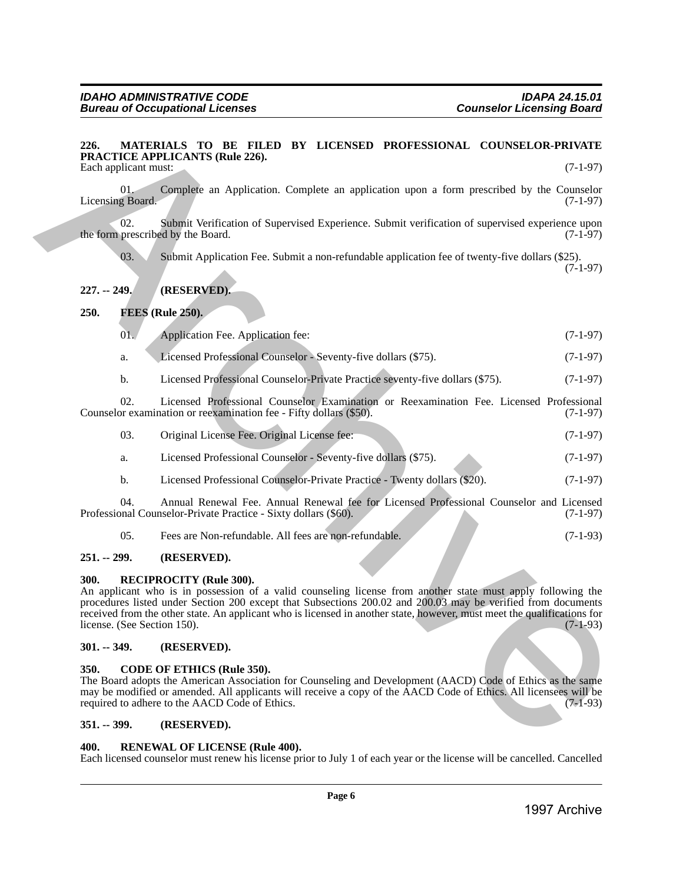#### <span id="page-5-0"></span>**226. MATERIALS TO BE FILED BY LICENSED PROFESSIONAL COUNSELOR-PRIVATE PRACTICE APPLICANTS (Rule 226).** Each applicant must: (7-1-97)

01. Complete an Application. Complete an application upon a form prescribed by the Counselor  $(7-1-97)$ Licensing Board.

02. Submit Verification of Supervised Experience. Submit verification of supervised experience upon the form prescribed by the Board. (7-1-97)

03. Submit Application Fee. Submit a non-refundable application fee of twenty-five dollars (\$25). (7-1-97)

# <span id="page-5-1"></span>**227. -- 249. (RESERVED).**

# <span id="page-5-2"></span>**250. FEES (Rule 250).**

| 01. | Application Fee. Application fee: | $(7-1-97)$ |
|-----|-----------------------------------|------------|
|     |                                   |            |

- a. Licensed Professional Counselor Seventy-five dollars (\$75). (7-1-97)
- b. Licensed Professional Counselor-Private Practice seventy-five dollars (\$75). (7-1-97)

02. Licensed Professional Counselor Examination or Reexamination Fee. Licensed Professional or examination fee - Fifty dollars (\$50). (7-1-97) Counselor examination or reexamination fee - Fifty dollars (\$50).

| 03. | Original License Fee. Original License fee: | $(7-1-97)$ |
|-----|---------------------------------------------|------------|
|     |                                             |            |
|     |                                             |            |

- a. Licensed Professional Counselor Seventy-five dollars (\$75). (7-1-97)
- b. Licensed Professional Counselor-Private Practice Twenty dollars (\$20). (7-1-97)

04. Annual Renewal Fee. Annual Renewal fee for Licensed Professional Counselor and Licensed practice - Sixty dollars (\$60). (7-1-97) Professional Counselor-Private Practice - Sixty dollars (\$60).

05. Fees are Non-refundable. All fees are non-refundable. (7-1-93)

# <span id="page-5-3"></span>**251. -- 299. (RESERVED).**

# <span id="page-5-4"></span>**300. RECIPROCITY (Rule 300).**

An applicant who is in possession of a valid counseling license from another state must apply following the procedures listed under Section 200 except that Subsections 200.02 and 200.03 may be verified from documents received from the other state. An applicant who is licensed in another state, however, must meet the qualifications for license. (See Section 150). (7-1-93) license. (See Section 150). 322. Marchive Archive Archive Archive Archive Archives and Consideration of the Consideration of the Consideration of the Consideration of the Consideration of the Consideration of the Consideration of the Consideration o

# <span id="page-5-5"></span>**301. -- 349. (RESERVED).**

# <span id="page-5-6"></span>**350. CODE OF ETHICS (Rule 350).**

The Board adopts the American Association for Counseling and Development (AACD) Code of Ethics as the same may be modified or amended. All applicants will receive a copy of the AACD Code of Ethics. All licensees will be required to adhere to the AACD Code of Ethics. (7-1-93)

# <span id="page-5-7"></span>**351. -- 399. (RESERVED).**

# <span id="page-5-8"></span>**400. RENEWAL OF LICENSE (Rule 400).**

Each licensed counselor must renew his license prior to July 1 of each year or the license will be cancelled. Cancelled